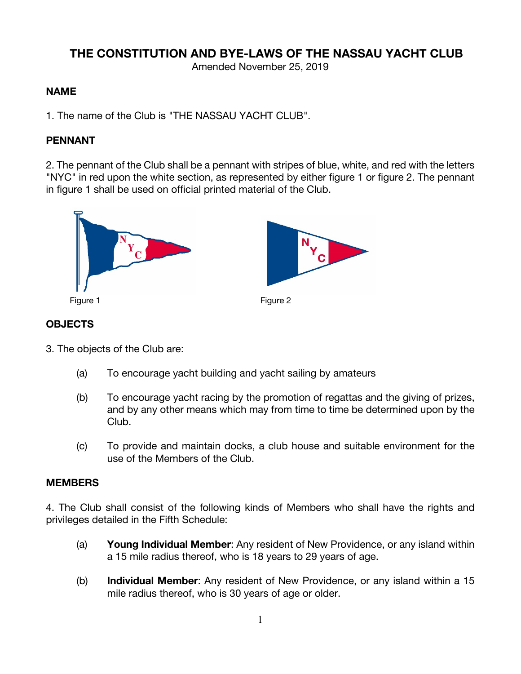# **THE CONSTITUTION AND BYE-LAWS OF THE NASSAU YACHT CLUB**

Amended November 25, 2019

#### **NAME**

1. The name of the Club is "THE NASSAU YACHT CLUB".

### **PENNANT**

2. The pennant of the Club shall be a pennant with stripes of blue, white, and red with the letters "NYC" in red upon the white section, as represented by either figure 1 or figure 2. The pennant in figure 1 shall be used on official printed material of the Club.



### **OBJECTS**

3. The objects of the Club are:

- (a) To encourage yacht building and yacht sailing by amateurs
- (b) To encourage yacht racing by the promotion of regattas and the giving of prizes, and by any other means which may from time to time be determined upon by the Club.
- (c) To provide and maintain docks, a club house and suitable environment for the use of the Members of the Club.

#### **MEMBERS**

4. The Club shall consist of the following kinds of Members who shall have the rights and privileges detailed in the Fifth Schedule:

- (a) **Young Individual Member**: Any resident of New Providence, or any island within a 15 mile radius thereof, who is 18 years to 29 years of age.
- (b) **Individual Member**: Any resident of New Providence, or any island within a 15 mile radius thereof, who is 30 years of age or older.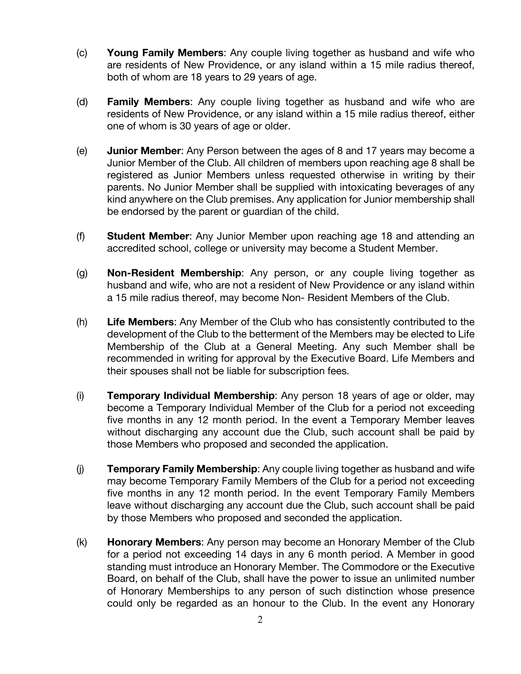- (c) **Young Family Members**: Any couple living together as husband and wife who are residents of New Providence, or any island within a 15 mile radius thereof, both of whom are 18 years to 29 years of age.
- (d) **Family Members**: Any couple living together as husband and wife who are residents of New Providence, or any island within a 15 mile radius thereof, either one of whom is 30 years of age or older.
- (e) **Junior Member**: Any Person between the ages of 8 and 17 years may become a Junior Member of the Club. All children of members upon reaching age 8 shall be registered as Junior Members unless requested otherwise in writing by their parents. No Junior Member shall be supplied with intoxicating beverages of any kind anywhere on the Club premises. Any application for Junior membership shall be endorsed by the parent or guardian of the child.
- (f) **Student Member**: Any Junior Member upon reaching age 18 and attending an accredited school, college or university may become a Student Member.
- (g) **Non-Resident Membership**: Any person, or any couple living together as husband and wife, who are not a resident of New Providence or any island within a 15 mile radius thereof, may become Non- Resident Members of the Club.
- (h) **Life Members**: Any Member of the Club who has consistently contributed to the development of the Club to the betterment of the Members may be elected to Life Membership of the Club at a General Meeting. Any such Member shall be recommended in writing for approval by the Executive Board. Life Members and their spouses shall not be liable for subscription fees.
- (i) **Temporary Individual Membership**: Any person 18 years of age or older, may become a Temporary Individual Member of the Club for a period not exceeding five months in any 12 month period. In the event a Temporary Member leaves without discharging any account due the Club, such account shall be paid by those Members who proposed and seconded the application.
- (j) **Temporary Family Membership**: Any couple living together as husband and wife may become Temporary Family Members of the Club for a period not exceeding five months in any 12 month period. In the event Temporary Family Members leave without discharging any account due the Club, such account shall be paid by those Members who proposed and seconded the application.
- (k) **Honorary Members**: Any person may become an Honorary Member of the Club for a period not exceeding 14 days in any 6 month period. A Member in good standing must introduce an Honorary Member. The Commodore or the Executive Board, on behalf of the Club, shall have the power to issue an unlimited number of Honorary Memberships to any person of such distinction whose presence could only be regarded as an honour to the Club. In the event any Honorary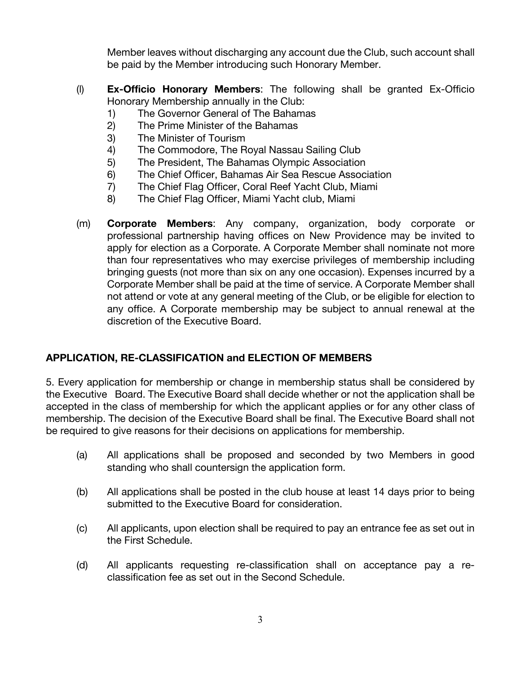Member leaves without discharging any account due the Club, such account shall be paid by the Member introducing such Honorary Member.

- (l) **Ex-Officio Honorary Members**: The following shall be granted Ex-Officio Honorary Membership annually in the Club:
	- 1) The Governor General of The Bahamas
	- 2) The Prime Minister of the Bahamas
	- 3) The Minister of Tourism
	- 4) The Commodore, The Royal Nassau Sailing Club
	- 5) The President, The Bahamas Olympic Association
	- 6) The Chief Officer, Bahamas Air Sea Rescue Association
	- 7) The Chief Flag Officer, Coral Reef Yacht Club, Miami
	- 8) The Chief Flag Officer, Miami Yacht club, Miami
- (m) **Corporate Members**: Any company, organization, body corporate or professional partnership having offices on New Providence may be invited to apply for election as a Corporate. A Corporate Member shall nominate not more than four representatives who may exercise privileges of membership including bringing guests (not more than six on any one occasion). Expenses incurred by a Corporate Member shall be paid at the time of service. A Corporate Member shall not attend or vote at any general meeting of the Club, or be eligible for election to any office. A Corporate membership may be subject to annual renewal at the discretion of the Executive Board.

## **APPLICATION, RE-CLASSIFICATION and ELECTION OF MEMBERS**

5. Every application for membership or change in membership status shall be considered by the Executive Board. The Executive Board shall decide whether or not the application shall be accepted in the class of membership for which the applicant applies or for any other class of membership. The decision of the Executive Board shall be final. The Executive Board shall not be required to give reasons for their decisions on applications for membership.

- (a) All applications shall be proposed and seconded by two Members in good standing who shall countersign the application form.
- (b) All applications shall be posted in the club house at least 14 days prior to being submitted to the Executive Board for consideration.
- (c) All applicants, upon election shall be required to pay an entrance fee as set out in the First Schedule.
- (d) All applicants requesting re-classification shall on acceptance pay a reclassification fee as set out in the Second Schedule.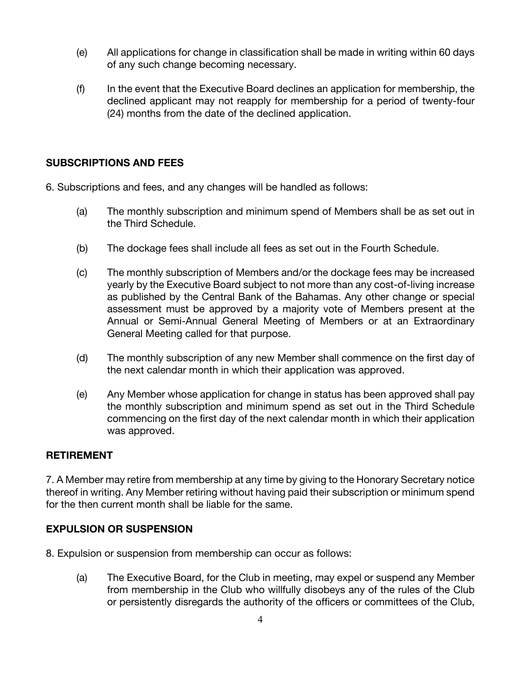- (e) All applications for change in classification shall be made in writing within 60 days of any such change becoming necessary.
- (f) In the event that the Executive Board declines an application for membership, the declined applicant may not reapply for membership for a period of twenty-four (24) months from the date of the declined application.

### **SUBSCRIPTIONS AND FEES**

6. Subscriptions and fees, and any changes will be handled as follows:

- (a) The monthly subscription and minimum spend of Members shall be as set out in the Third Schedule.
- (b) The dockage fees shall include all fees as set out in the Fourth Schedule.
- (c) The monthly subscription of Members and/or the dockage fees may be increased yearly by the Executive Board subject to not more than any cost-of-living increase as published by the Central Bank of the Bahamas. Any other change or special assessment must be approved by a majority vote of Members present at the Annual or Semi-Annual General Meeting of Members or at an Extraordinary General Meeting called for that purpose.
- (d) The monthly subscription of any new Member shall commence on the first day of the next calendar month in which their application was approved.
- (e) Any Member whose application for change in status has been approved shall pay the monthly subscription and minimum spend as set out in the Third Schedule commencing on the first day of the next calendar month in which their application was approved.

### **RETIREMENT**

7. A Member may retire from membership at any time by giving to the Honorary Secretary notice thereof in writing. Any Member retiring without having paid their subscription or minimum spend for the then current month shall be liable for the same.

### **EXPULSION OR SUSPENSION**

8. Expulsion or suspension from membership can occur as follows:

(a) The Executive Board, for the Club in meeting, may expel or suspend any Member from membership in the Club who willfully disobeys any of the rules of the Club or persistently disregards the authority of the officers or committees of the Club,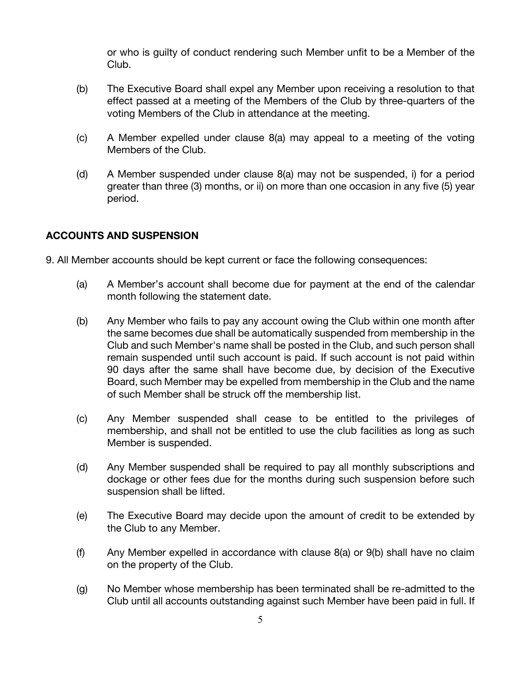or who is guilty of conduct rendering such Member unfit to be a Member of the Club.

- (b) The Executive Board shall expel any Member upon receiving a resolution to that effect passed at a meeting of the Members of the Club by three-quarters of the voting Members of the Club in attendance at the meeting.
- (c) A Member expelled under clause 8(a) may appeal to a meeting of the voting Members of the Club.
- (d) A Member suspended under clause 8(a) may not be suspended, i) for a period greater than three (3) months, or ii) on more than one occasion in any five (5) year period.

### **ACCOUNTS AND SUSPENSION**

9. All Member accounts should be kept current or face the following consequences:

- (a) A Member's account shall become due for payment at the end of the calendar month following the statement date.
- (b) Any Member who fails to pay any account owing the Club within one month after the same becomes due shall be automatically suspended from membership in the Club and such Member's name shall be posted in the Club, and such person shall remain suspended until such account is paid. If such account is not paid within 90 days after the same shall have become due, by decision of the Executive Board, such Member may be expelled from membership in the Club and the name of such Member shall be struck off the membership list.
- (c) Any Member suspended shall cease to be entitled to the privileges of membership, and shall not be entitled to use the club facilities as long as such Member is suspended.
- (d) Any Member suspended shall be required to pay all monthly subscriptions and dockage or other fees due for the months during such suspension before such suspension shall be lifted.
- (e) The Executive Board may decide upon the amount of credit to be extended by the Club to any Member.
- (f) Any Member expelled in accordance with clause 8(a) or 9(b) shall have no claim on the property of the Club.
- (g) No Member whose membership has been terminated shall be re-admitted to the Club until all accounts outstanding against such Member have been paid in full. If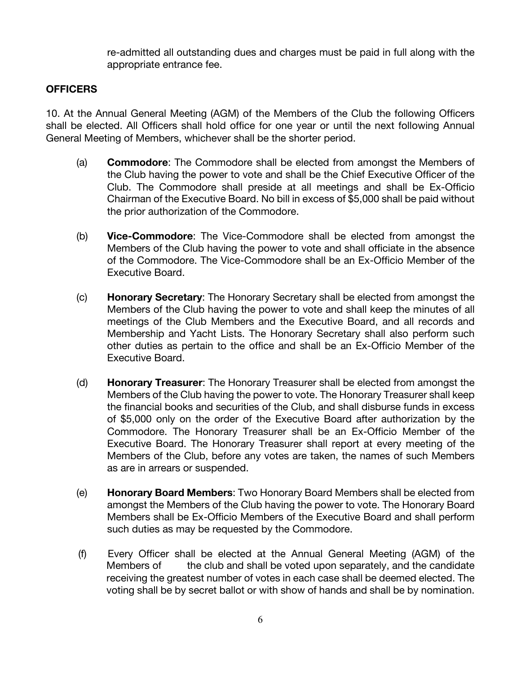re-admitted all outstanding dues and charges must be paid in full along with the appropriate entrance fee.

### **OFFICERS**

10. At the Annual General Meeting (AGM) of the Members of the Club the following Officers shall be elected. All Officers shall hold office for one year or until the next following Annual General Meeting of Members, whichever shall be the shorter period.

- (a) **Commodore**: The Commodore shall be elected from amongst the Members of the Club having the power to vote and shall be the Chief Executive Officer of the Club. The Commodore shall preside at all meetings and shall be Ex-Officio Chairman of the Executive Board. No bill in excess of \$5,000 shall be paid without the prior authorization of the Commodore.
- (b) **Vice-Commodore**: The Vice-Commodore shall be elected from amongst the Members of the Club having the power to vote and shall officiate in the absence of the Commodore. The Vice-Commodore shall be an Ex-Officio Member of the Executive Board.
- (c) **Honorary Secretary**: The Honorary Secretary shall be elected from amongst the Members of the Club having the power to vote and shall keep the minutes of all meetings of the Club Members and the Executive Board, and all records and Membership and Yacht Lists. The Honorary Secretary shall also perform such other duties as pertain to the office and shall be an Ex-Officio Member of the Executive Board.
- (d) **Honorary Treasurer**: The Honorary Treasurer shall be elected from amongst the Members of the Club having the power to vote. The Honorary Treasurer shall keep the financial books and securities of the Club, and shall disburse funds in excess of \$5,000 only on the order of the Executive Board after authorization by the Commodore. The Honorary Treasurer shall be an Ex-Officio Member of the Executive Board. The Honorary Treasurer shall report at every meeting of the Members of the Club, before any votes are taken, the names of such Members as are in arrears or suspended.
- (e) **Honorary Board Members**: Two Honorary Board Members shall be elected from amongst the Members of the Club having the power to vote. The Honorary Board Members shall be Ex-Officio Members of the Executive Board and shall perform such duties as may be requested by the Commodore.
- (f) Every Officer shall be elected at the Annual General Meeting (AGM) of the Members of the club and shall be voted upon separately, and the candidate receiving the greatest number of votes in each case shall be deemed elected. The voting shall be by secret ballot or with show of hands and shall be by nomination.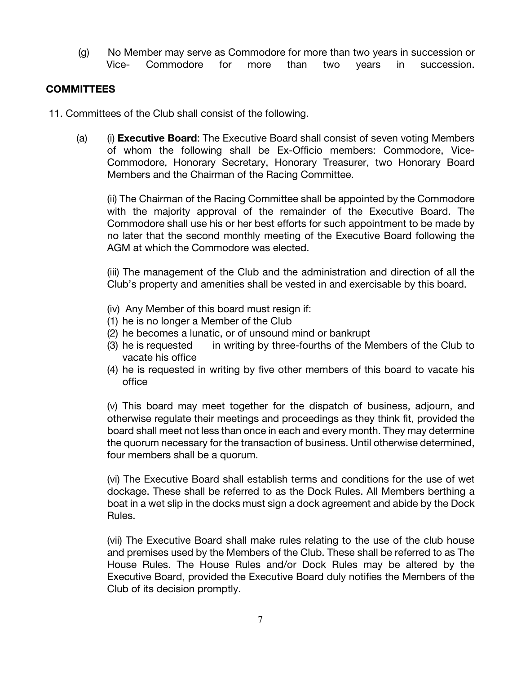(g) No Member may serve as Commodore for more than two years in succession or Vice- Commodore for more than two years in succession.

### **COMMITTEES**

11. Committees of the Club shall consist of the following.

(a) (i) **Executive Board**: The Executive Board shall consist of seven voting Members of whom the following shall be Ex-Officio members: Commodore, Vice-Commodore, Honorary Secretary, Honorary Treasurer, two Honorary Board Members and the Chairman of the Racing Committee.

(ii) The Chairman of the Racing Committee shall be appointed by the Commodore with the majority approval of the remainder of the Executive Board. The Commodore shall use his or her best efforts for such appointment to be made by no later that the second monthly meeting of the Executive Board following the AGM at which the Commodore was elected.

(iii) The management of the Club and the administration and direction of all the Club's property and amenities shall be vested in and exercisable by this board.

- (iv) Any Member of this board must resign if:
- (1) he is no longer a Member of the Club
- (2) he becomes a lunatic, or of unsound mind or bankrupt
- (3) he is requested in writing by three-fourths of the Members of the Club to vacate his office
- (4) he is requested in writing by five other members of this board to vacate his office

(v) This board may meet together for the dispatch of business, adjourn, and otherwise regulate their meetings and proceedings as they think fit, provided the board shall meet not less than once in each and every month. They may determine the quorum necessary for the transaction of business. Until otherwise determined, four members shall be a quorum.

(vi) The Executive Board shall establish terms and conditions for the use of wet dockage. These shall be referred to as the Dock Rules. All Members berthing a boat in a wet slip in the docks must sign a dock agreement and abide by the Dock Rules.

(vii) The Executive Board shall make rules relating to the use of the club house and premises used by the Members of the Club. These shall be referred to as The House Rules. The House Rules and/or Dock Rules may be altered by the Executive Board, provided the Executive Board duly notifies the Members of the Club of its decision promptly.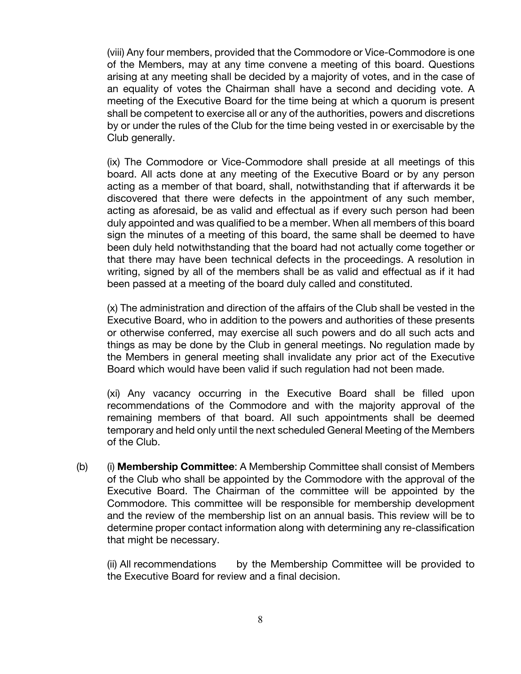(viii) Any four members, provided that the Commodore or Vice-Commodore is one of the Members, may at any time convene a meeting of this board. Questions arising at any meeting shall be decided by a majority of votes, and in the case of an equality of votes the Chairman shall have a second and deciding vote. A meeting of the Executive Board for the time being at which a quorum is present shall be competent to exercise all or any of the authorities, powers and discretions by or under the rules of the Club for the time being vested in or exercisable by the Club generally.

(ix) The Commodore or Vice-Commodore shall preside at all meetings of this board. All acts done at any meeting of the Executive Board or by any person acting as a member of that board, shall, notwithstanding that if afterwards it be discovered that there were defects in the appointment of any such member, acting as aforesaid, be as valid and effectual as if every such person had been duly appointed and was qualified to be a member. When all members of this board sign the minutes of a meeting of this board, the same shall be deemed to have been duly held notwithstanding that the board had not actually come together or that there may have been technical defects in the proceedings. A resolution in writing, signed by all of the members shall be as valid and effectual as if it had been passed at a meeting of the board duly called and constituted.

(x) The administration and direction of the affairs of the Club shall be vested in the Executive Board, who in addition to the powers and authorities of these presents or otherwise conferred, may exercise all such powers and do all such acts and things as may be done by the Club in general meetings. No regulation made by the Members in general meeting shall invalidate any prior act of the Executive Board which would have been valid if such regulation had not been made.

(xi) Any vacancy occurring in the Executive Board shall be filled upon recommendations of the Commodore and with the majority approval of the remaining members of that board. All such appointments shall be deemed temporary and held only until the next scheduled General Meeting of the Members of the Club.

(b) (i) **Membership Committee**: A Membership Committee shall consist of Members of the Club who shall be appointed by the Commodore with the approval of the Executive Board. The Chairman of the committee will be appointed by the Commodore. This committee will be responsible for membership development and the review of the membership list on an annual basis. This review will be to determine proper contact information along with determining any re-classification that might be necessary.

(ii) All recommendations by the Membership Committee will be provided to the Executive Board for review and a final decision.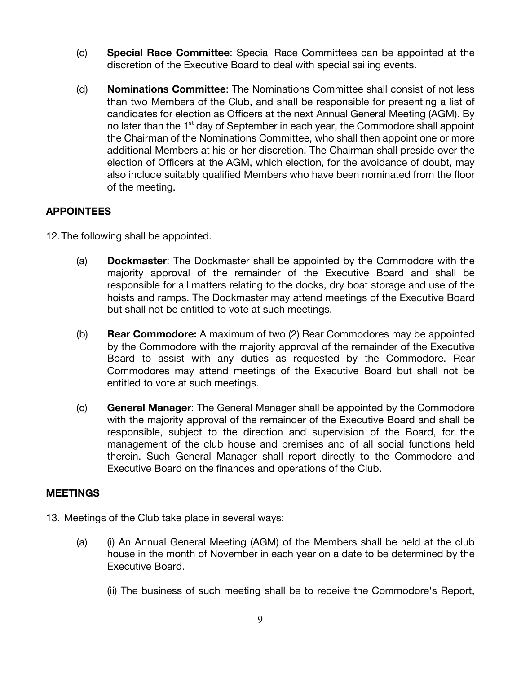- (c) **Special Race Committee**: Special Race Committees can be appointed at the discretion of the Executive Board to deal with special sailing events.
- (d) **Nominations Committee**: The Nominations Committee shall consist of not less than two Members of the Club, and shall be responsible for presenting a list of candidates for election as Officers at the next Annual General Meeting (AGM). By no later than the 1<sup>st</sup> day of September in each year, the Commodore shall appoint the Chairman of the Nominations Committee, who shall then appoint one or more additional Members at his or her discretion. The Chairman shall preside over the election of Officers at the AGM, which election, for the avoidance of doubt, may also include suitably qualified Members who have been nominated from the floor of the meeting.

### **APPOINTEES**

12.The following shall be appointed.

- (a) **Dockmaster**: The Dockmaster shall be appointed by the Commodore with the majority approval of the remainder of the Executive Board and shall be responsible for all matters relating to the docks, dry boat storage and use of the hoists and ramps. The Dockmaster may attend meetings of the Executive Board but shall not be entitled to vote at such meetings.
- (b) **Rear Commodore:** A maximum of two (2) Rear Commodores may be appointed by the Commodore with the majority approval of the remainder of the Executive Board to assist with any duties as requested by the Commodore. Rear Commodores may attend meetings of the Executive Board but shall not be entitled to vote at such meetings.
- (c) **General Manager**: The General Manager shall be appointed by the Commodore with the majority approval of the remainder of the Executive Board and shall be responsible, subject to the direction and supervision of the Board, for the management of the club house and premises and of all social functions held therein. Such General Manager shall report directly to the Commodore and Executive Board on the finances and operations of the Club.

### **MEETINGS**

- 13. Meetings of the Club take place in several ways:
	- (a) (i) An Annual General Meeting (AGM) of the Members shall be held at the club house in the month of November in each year on a date to be determined by the Executive Board.
		- (ii) The business of such meeting shall be to receive the Commodore's Report,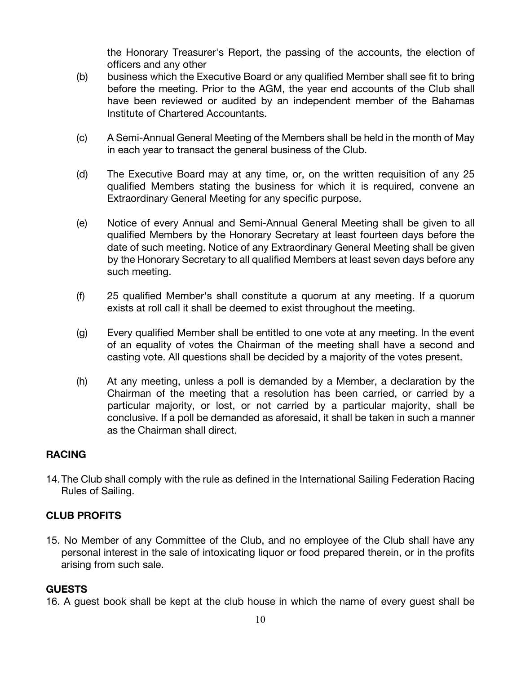the Honorary Treasurer's Report, the passing of the accounts, the election of officers and any other

- (b) business which the Executive Board or any qualified Member shall see fit to bring before the meeting. Prior to the AGM, the year end accounts of the Club shall have been reviewed or audited by an independent member of the Bahamas Institute of Chartered Accountants.
- (c) A Semi-Annual General Meeting of the Members shall be held in the month of May in each year to transact the general business of the Club.
- (d) The Executive Board may at any time, or, on the written requisition of any 25 qualified Members stating the business for which it is required, convene an Extraordinary General Meeting for any specific purpose.
- (e) Notice of every Annual and Semi-Annual General Meeting shall be given to all qualified Members by the Honorary Secretary at least fourteen days before the date of such meeting. Notice of any Extraordinary General Meeting shall be given by the Honorary Secretary to all qualified Members at least seven days before any such meeting.
- (f) 25 qualified Member's shall constitute a quorum at any meeting. If a quorum exists at roll call it shall be deemed to exist throughout the meeting.
- (g) Every qualified Member shall be entitled to one vote at any meeting. In the event of an equality of votes the Chairman of the meeting shall have a second and casting vote. All questions shall be decided by a majority of the votes present.
- (h) At any meeting, unless a poll is demanded by a Member, a declaration by the Chairman of the meeting that a resolution has been carried, or carried by a particular majority, or lost, or not carried by a particular majority, shall be conclusive. If a poll be demanded as aforesaid, it shall be taken in such a manner as the Chairman shall direct.

### **RACING**

14.The Club shall comply with the rule as defined in the International Sailing Federation Racing Rules of Sailing.

### **CLUB PROFITS**

15. No Member of any Committee of the Club, and no employee of the Club shall have any personal interest in the sale of intoxicating liquor or food prepared therein, or in the profits arising from such sale.

### **GUESTS**

16. A guest book shall be kept at the club house in which the name of every guest shall be